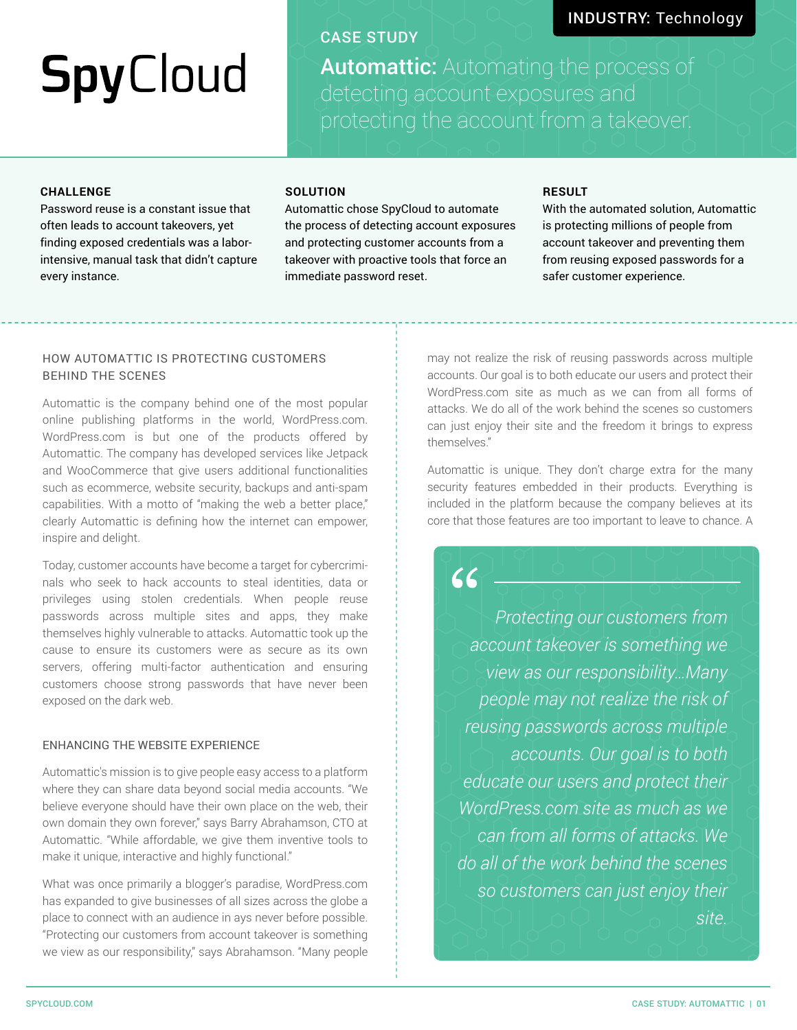# **SpyCloud**

### CASE STUDY

## INDUSTRY: Technology

Automattic: Automating the process of protecting the account from a takeover.

#### **CHALLENGE**

Password reuse is a constant issue that often leads to account takeovers, yet finding exposed credentials was a laborintensive, manual task that didn't capture every instance.

#### **SOLUTION**

Automattic chose SpyCloud to automate the process of detecting account exposures and protecting customer accounts from a takeover with proactive tools that force an immediate password reset.

 $66$ 

#### **RESULT**

With the automated solution, Automattic is protecting millions of people from account takeover and preventing them from reusing exposed passwords for a safer customer experience.

#### HOW AUTOMATTIC IS PROTECTING CUSTOMERS BEHIND THE SCENES

Automattic is the company behind one of the most popular online publishing platforms in the world, WordPress.com. WordPress.com is but one of the products offered by Automattic. The company has developed services like Jetpack and WooCommerce that give users additional functionalities such as ecommerce, website security, backups and anti-spam capabilities. With a motto of "making the web a better place," clearly Automattic is defining how the internet can empower, inspire and delight.

Today, customer accounts have become a target for cybercriminals who seek to hack accounts to steal identities, data or privileges using stolen credentials. When people reuse passwords across multiple sites and apps, they make themselves highly vulnerable to attacks. Automattic took up the cause to ensure its customers were as secure as its own servers, offering multi-factor authentication and ensuring customers choose strong passwords that have never been exposed on the dark web.

#### ENHANCING THE WEBSITE EXPERIENCE

Automattic's mission is to give people easy access to a platform where they can share data beyond social media accounts. "We believe everyone should have their own place on the web, their own domain they own forever," says Barry Abrahamson, CTO at Automattic. "While affordable, we give them inventive tools to make it unique, interactive and highly functional."

What was once primarily a blogger's paradise, WordPress.com has expanded to give businesses of all sizes across the globe a place to connect with an audience in ays never before possible. "Protecting our customers from account takeover is something we view as our responsibility," says Abrahamson. "Many people

may not realize the risk of reusing passwords across multiple accounts. Our goal is to both educate our users and protect their WordPress.com site as much as we can from all forms of attacks. We do all of the work behind the scenes so customers can just enjoy their site and the freedom it brings to express themselves."

Automattic is unique. They don't charge extra for the many security features embedded in their products. Everything is included in the platform because the company believes at its core that those features are too important to leave to chance. A

*Protecting our customers from account takeover is something we view as our responsibility…Many people may not realize the risk of reusing passwords across multiple accounts. Our goal is to both educate our users and protect their WordPress.com site as much as we can from all forms of attacks. We do all of the work behind the scenes so customers can just enjoy their site.*